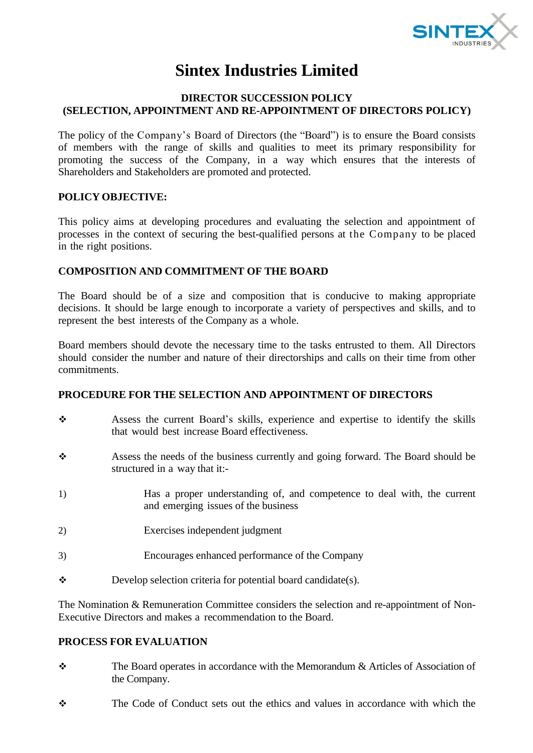

# **Sintex Industries Limited**

## **DIRECTOR SUCCESSION POLICY (SELECTION, APPOINTMENT AND RE-APPOINTMENT OF DIRECTORS POLICY)**

The policy of the Company's Board of Directors (the "Board") is to ensure the Board consists of members with the range of skills and qualities to meet its primary responsibility for promoting the success of the Company, in a way which ensures that the interests of Shareholders and Stakeholders are promoted and protected.

## **POLICY OBJECTIVE:**

This policy aims at developing procedures and evaluating the selection and appointment of processes in the context of securing the best-qualified persons at the Company to be placed in the right positions.

#### **COMPOSITION AND COMMITMENT OF THE BOARD**

The Board should be of a size and composition that is conducive to making appropriate decisions. It should be large enough to incorporate a variety of perspectives and skills, and to represent the best interests of the Company as a whole.

Board members should devote the necessary time to the tasks entrusted to them. All Directors should consider the number and nature of their directorships and calls on their time from other commitments.

# **PROCEDURE FOR THE SELECTION AND APPOINTMENT OF DIRECTORS**

- Assess the current Board's skills, experience and expertise to identify the skills that would best increase Board effectiveness.
- Assess the needs of the business currently and going forward. The Board should be structured in a way that it:-
- 1) Has a proper understanding of, and competence to deal with, the current and emerging issues of the business
- 2) Exercises independent judgment
- 3) Encourages enhanced performance of the Company
- $\triangle$  Develop selection criteria for potential board candidate(s).

The Nomination & Remuneration Committee considers the selection and re-appointment of Non-Executive Directors and makes a recommendation to the Board.

### **PROCESS FOR EVALUATION**

- The Board operates in accordance with the Memorandum & Articles of Association of the Company.
- The Code of Conduct sets out the ethics and values in accordance with which the